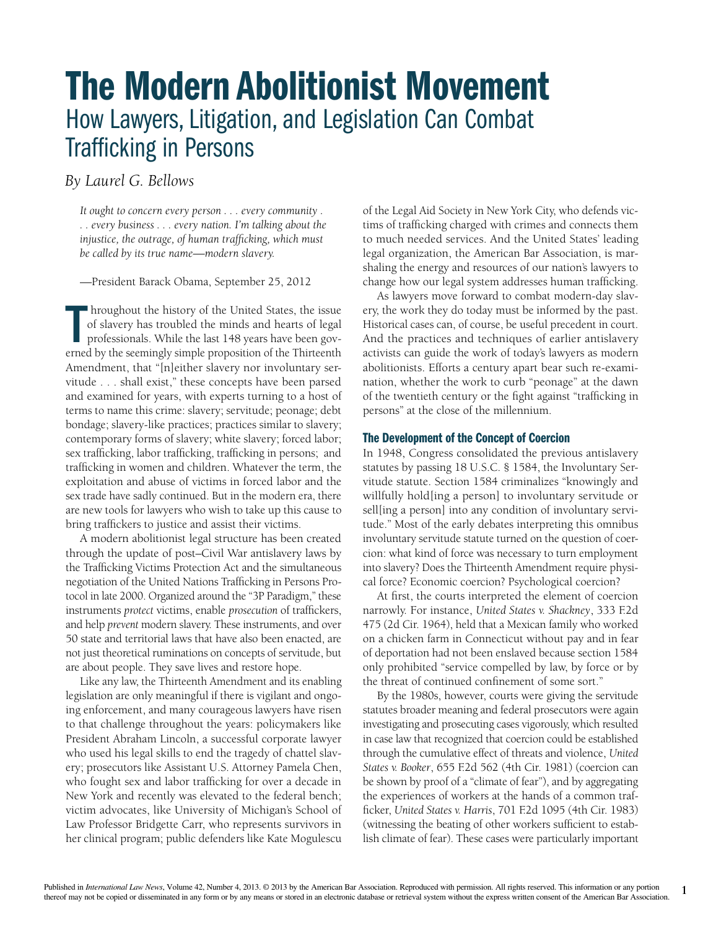## The Modern Abolitionist Movement How Lawyers, Litigation, and Legislation Can Combat Trafficking in Persons

*By Laurel G. Bellows*

*It ought to concern every person . . . every community . . . every business . . . every nation. I'm talking about the injustice, the outrage, of human trafficking, which must be called by its true name—modern slavery.* 

—President Barack Obama, September 25, 2012

Throughout the history of the United States, the issue<br>of slavery has troubled the minds and hearts of legal<br>professionals. While the last 148 years have been governed by the seemingly simple proposition of the Thirteenth of slavery has troubled the minds and hearts of legal professionals. While the last 148 years have been governed by the seemingly simple proposition of the Thirteenth Amendment, that "[n]either slavery nor involuntary servitude . . . shall exist," these concepts have been parsed and examined for years, with experts turning to a host of terms to name this crime: slavery; servitude; peonage; debt bondage; slavery-like practices; practices similar to slavery; contemporary forms of slavery; white slavery; forced labor; sex trafficking, labor trafficking, trafficking in persons; and trafficking in women and children. Whatever the term, the exploitation and abuse of victims in forced labor and the sex trade have sadly continued. But in the modern era, there are new tools for lawyers who wish to take up this cause to bring traffickers to justice and assist their victims.

A modern abolitionist legal structure has been created through the update of post–Civil War antislavery laws by the Trafficking Victims Protection Act and the simultaneous negotiation of the United Nations Trafficking in Persons Protocol in late 2000. Organized around the "3P Paradigm," these instruments *protect* victims, enable *prosecution* of traffickers, and help *prevent* modern slavery. These instruments, and over 50 state and territorial laws that have also been enacted, are not just theoretical ruminations on concepts of servitude, but are about people. They save lives and restore hope.

Like any law, the Thirteenth Amendment and its enabling legislation are only meaningful if there is vigilant and ongoing enforcement, and many courageous lawyers have risen to that challenge throughout the years: policymakers like President Abraham Lincoln, a successful corporate lawyer who used his legal skills to end the tragedy of chattel slavery; prosecutors like Assistant U.S. Attorney Pamela Chen, who fought sex and labor trafficking for over a decade in New York and recently was elevated to the federal bench; victim advocates, like University of Michigan's School of Law Professor Bridgette Carr, who represents survivors in her clinical program; public defenders like Kate Mogulescu

of the Legal Aid Society in New York City, who defends victims of trafficking charged with crimes and connects them to much needed services. And the United States' leading legal organization, the American Bar Association, is marshaling the energy and resources of our nation's lawyers to change how our legal system addresses human trafficking.

As lawyers move forward to combat modern-day slavery, the work they do today must be informed by the past. Historical cases can, of course, be useful precedent in court. And the practices and techniques of earlier antislavery activists can guide the work of today's lawyers as modern abolitionists. Efforts a century apart bear such re-examination, whether the work to curb "peonage" at the dawn of the twentieth century or the fight against "trafficking in persons" at the close of the millennium.

## The Development of the Concept of Coercion

In 1948, Congress consolidated the previous antislavery statutes by passing 18 U.S.C. § 1584, the Involuntary Servitude statute. Section 1584 criminalizes "knowingly and willfully hold[ing a person] to involuntary servitude or sell[ing a person] into any condition of involuntary servitude." Most of the early debates interpreting this omnibus involuntary servitude statute turned on the question of coercion: what kind of force was necessary to turn employment into slavery? Does the Thirteenth Amendment require physical force? Economic coercion? Psychological coercion?

At first, the courts interpreted the element of coercion narrowly. For instance, *United States v. Shackney*, 333 F.2d 475 (2d Cir. 1964), held that a Mexican family who worked on a chicken farm in Connecticut without pay and in fear of deportation had not been enslaved because section 1584 only prohibited "service compelled by law, by force or by the threat of continued confinement of some sort."

By the 1980s, however, courts were giving the servitude statutes broader meaning and federal prosecutors were again investigating and prosecuting cases vigorously, which resulted in case law that recognized that coercion could be established through the cumulative effect of threats and violence, *United States v. Booker*, 655 F.2d 562 (4th Cir. 1981) (coercion can be shown by proof of a "climate of fear"), and by aggregating the experiences of workers at the hands of a common trafficker, *United States v. Harris*, 701 F.2d 1095 (4th Cir. 1983) (witnessing the beating of other workers sufficient to establish climate of fear). These cases were particularly important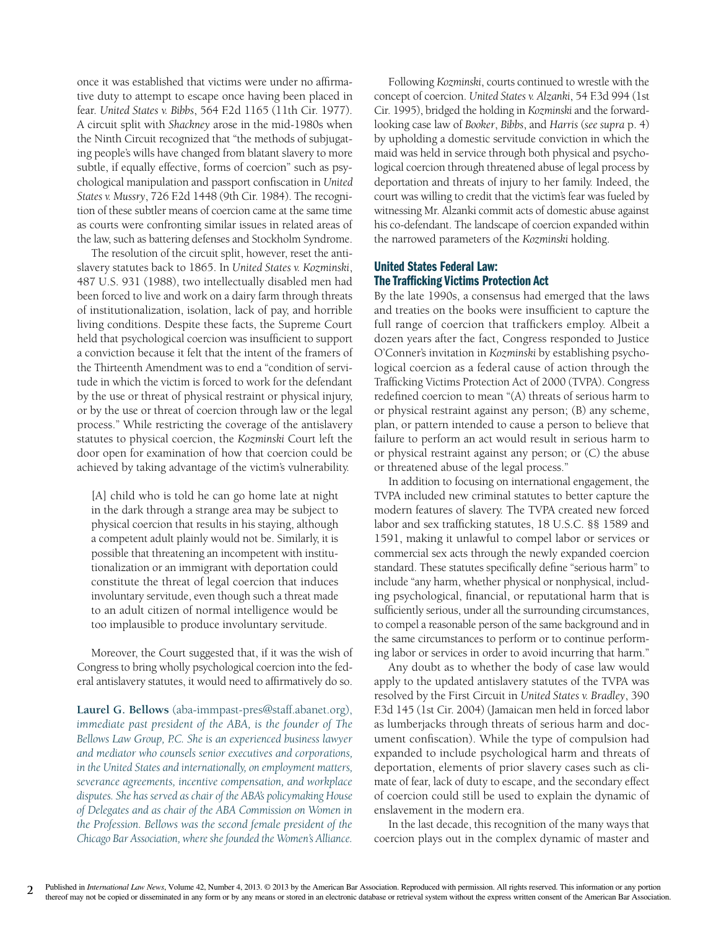once it was established that victims were under no affirmative duty to attempt to escape once having been placed in fear. *United States v. Bibbs*, 564 F.2d 1165 (11th Cir. 1977). A circuit split with *Shackney* arose in the mid-1980s when the Ninth Circuit recognized that "the methods of subjugating people's wills have changed from blatant slavery to more subtle, if equally effective, forms of coercion" such as psychological manipulation and passport confiscation in *United States v. Mussry*, 726 F.2d 1448 (9th Cir. 1984). The recognition of these subtler means of coercion came at the same time as courts were confronting similar issues in related areas of the law, such as battering defenses and Stockholm Syndrome.

The resolution of the circuit split, however, reset the antislavery statutes back to 1865. In *United States v. Kozminski*, 487 U.S. 931 (1988), two intellectually disabled men had been forced to live and work on a dairy farm through threats of institutionalization, isolation, lack of pay, and horrible living conditions. Despite these facts, the Supreme Court held that psychological coercion was insufficient to support a conviction because it felt that the intent of the framers of the Thirteenth Amendment was to end a "condition of servitude in which the victim is forced to work for the defendant by the use or threat of physical restraint or physical injury, or by the use or threat of coercion through law or the legal process." While restricting the coverage of the antislavery statutes to physical coercion, the *Kozminski* Court left the door open for examination of how that coercion could be achieved by taking advantage of the victim's vulnerability.

[A] child who is told he can go home late at night in the dark through a strange area may be subject to physical coercion that results in his staying, although a competent adult plainly would not be. Similarly, it is possible that threatening an incompetent with institutionalization or an immigrant with deportation could constitute the threat of legal coercion that induces involuntary servitude, even though such a threat made to an adult citizen of normal intelligence would be too implausible to produce involuntary servitude.

Moreover, the Court suggested that, if it was the wish of Congress to bring wholly psychological coercion into the federal antislavery statutes, it would need to affirmatively do so.

**Laurel G. Bellows** (aba-immpast-pres@staff.abanet.org), *immediate past president of the ABA, is the founder of The Bellows Law Group, P.C. She is an experienced business lawyer and mediator who counsels senior executives and corporations, in the United States and internationally, on employment matters, severance agreements, incentive compensation, and workplace disputes. She has served as chair of the ABA's policymaking House of Delegates and as chair of the ABA Commission on Women in the Profession. Bellows was the second female president of the Chicago Bar Association, where she founded the Women's Alliance.*

Following *Kozminski*, courts continued to wrestle with the concept of coercion. *United States v. Alzanki*, 54 F.3d 994 (1st Cir. 1995), bridged the holding in *Kozminski* and the forwardlooking case law of *Booker*, *Bibbs*, and *Harris* (*see supra* p. 4) by upholding a domestic servitude conviction in which the maid was held in service through both physical and psychological coercion through threatened abuse of legal process by deportation and threats of injury to her family. Indeed, the court was willing to credit that the victim's fear was fueled by witnessing Mr. Alzanki commit acts of domestic abuse against his co-defendant. The landscape of coercion expanded within the narrowed parameters of the *Kozminski* holding.

## United States Federal Law: The Trafficking Victims Protection Act

By the late 1990s, a consensus had emerged that the laws and treaties on the books were insufficient to capture the full range of coercion that traffickers employ. Albeit a dozen years after the fact, Congress responded to Justice O'Conner's invitation in *Kozminski* by establishing psychological coercion as a federal cause of action through the Trafficking Victims Protection Act of 2000 (TVPA). Congress redefined coercion to mean "(A) threats of serious harm to or physical restraint against any person; (B) any scheme, plan, or pattern intended to cause a person to believe that failure to perform an act would result in serious harm to or physical restraint against any person; or (C) the abuse or threatened abuse of the legal process."

In addition to focusing on international engagement, the TVPA included new criminal statutes to better capture the modern features of slavery. The TVPA created new forced labor and sex trafficking statutes, 18 U.S.C. §§ 1589 and 1591, making it unlawful to compel labor or services or commercial sex acts through the newly expanded coercion standard. These statutes specifically define "serious harm" to include "any harm, whether physical or nonphysical, including psychological, financial, or reputational harm that is sufficiently serious, under all the surrounding circumstances, to compel a reasonable person of the same background and in the same circumstances to perform or to continue performing labor or services in order to avoid incurring that harm."

Any doubt as to whether the body of case law would apply to the updated antislavery statutes of the TVPA was resolved by the First Circuit in *United States v. Bradley*, 390 F.3d 145 (1st Cir. 2004) (Jamaican men held in forced labor as lumberjacks through threats of serious harm and document confiscation). While the type of compulsion had expanded to include psychological harm and threats of deportation, elements of prior slavery cases such as climate of fear, lack of duty to escape, and the secondary effect of coercion could still be used to explain the dynamic of enslavement in the modern era.

In the last decade, this recognition of the many ways that coercion plays out in the complex dynamic of master and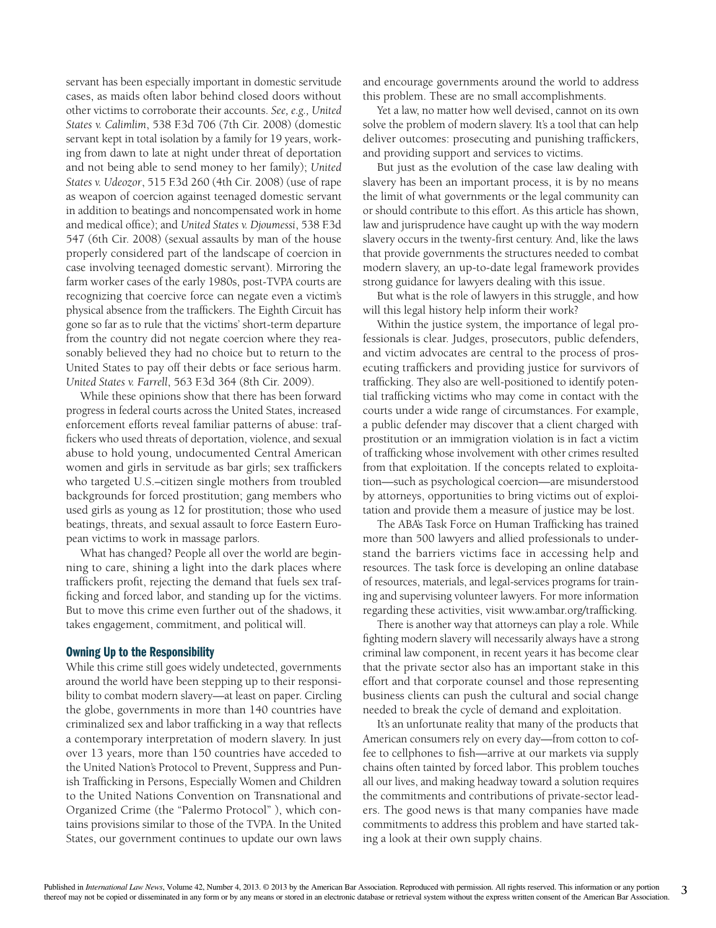servant has been especially important in domestic servitude cases, as maids often labor behind closed doors without other victims to corroborate their accounts. *See, e.g., United States v. Calimlim*, 538 F.3d 706 (7th Cir. 2008) (domestic servant kept in total isolation by a family for 19 years, working from dawn to late at night under threat of deportation and not being able to send money to her family); *United States v. Udeozor*, 515 F.3d 260 (4th Cir. 2008) (use of rape as weapon of coercion against teenaged domestic servant in addition to beatings and noncompensated work in home and medical office); and *United States v. Djoumessi*, 538 F.3d 547 (6th Cir. 2008) (sexual assaults by man of the house properly considered part of the landscape of coercion in case involving teenaged domestic servant). Mirroring the farm worker cases of the early 1980s, post-TVPA courts are recognizing that coercive force can negate even a victim's physical absence from the traffickers. The Eighth Circuit has gone so far as to rule that the victims' short-term departure from the country did not negate coercion where they reasonably believed they had no choice but to return to the United States to pay off their debts or face serious harm. *United States v. Farrell*, 563 F.3d 364 (8th Cir. 2009).

While these opinions show that there has been forward progress in federal courts across the United States, increased enforcement efforts reveal familiar patterns of abuse: traffickers who used threats of deportation, violence, and sexual abuse to hold young, undocumented Central American women and girls in servitude as bar girls; sex traffickers who targeted U.S.–citizen single mothers from troubled backgrounds for forced prostitution; gang members who used girls as young as 12 for prostitution; those who used beatings, threats, and sexual assault to force Eastern European victims to work in massage parlors.

What has changed? People all over the world are beginning to care, shining a light into the dark places where traffickers profit, rejecting the demand that fuels sex trafficking and forced labor, and standing up for the victims. But to move this crime even further out of the shadows, it takes engagement, commitment, and political will.

## Owning Up to the Responsibility

While this crime still goes widely undetected, governments around the world have been stepping up to their responsibility to combat modern slavery—at least on paper. Circling the globe, governments in more than 140 countries have criminalized sex and labor trafficking in a way that reflects a contemporary interpretation of modern slavery. In just over 13 years, more than 150 countries have acceded to the United Nation's Protocol to Prevent, Suppress and Punish Trafficking in Persons, Especially Women and Children to the United Nations Convention on Transnational and Organized Crime (the "Palermo Protocol" ), which contains provisions similar to those of the TVPA. In the United States, our government continues to update our own laws and encourage governments around the world to address this problem. These are no small accomplishments.

Yet a law, no matter how well devised, cannot on its own solve the problem of modern slavery. It's a tool that can help deliver outcomes: prosecuting and punishing traffickers, and providing support and services to victims.

But just as the evolution of the case law dealing with slavery has been an important process, it is by no means the limit of what governments or the legal community can or should contribute to this effort. As this article has shown, law and jurisprudence have caught up with the way modern slavery occurs in the twenty-first century. And, like the laws that provide governments the structures needed to combat modern slavery, an up-to-date legal framework provides strong guidance for lawyers dealing with this issue.

But what is the role of lawyers in this struggle, and how will this legal history help inform their work?

Within the justice system, the importance of legal professionals is clear. Judges, prosecutors, public defenders, and victim advocates are central to the process of prosecuting traffickers and providing justice for survivors of trafficking. They also are well-positioned to identify potential trafficking victims who may come in contact with the courts under a wide range of circumstances. For example, a public defender may discover that a client charged with prostitution or an immigration violation is in fact a victim of trafficking whose involvement with other crimes resulted from that exploitation. If the concepts related to exploitation—such as psychological coercion—are misunderstood by attorneys, opportunities to bring victims out of exploitation and provide them a measure of justice may be lost.

The ABA's Task Force on Human Trafficking has trained more than 500 lawyers and allied professionals to understand the barriers victims face in accessing help and resources. The task force is developing an online database of resources, materials, and legal-services programs for training and supervising volunteer lawyers. For more information regarding these activities, visit www.ambar.org/trafficking.

There is another way that attorneys can play a role. While fighting modern slavery will necessarily always have a strong criminal law component, in recent years it has become clear that the private sector also has an important stake in this effort and that corporate counsel and those representing business clients can push the cultural and social change needed to break the cycle of demand and exploitation.

It's an unfortunate reality that many of the products that American consumers rely on every day—from cotton to coffee to cellphones to fish—arrive at our markets via supply chains often tainted by forced labor. This problem touches all our lives, and making headway toward a solution requires the commitments and contributions of private-sector leaders. The good news is that many companies have made commitments to address this problem and have started taking a look at their own supply chains.